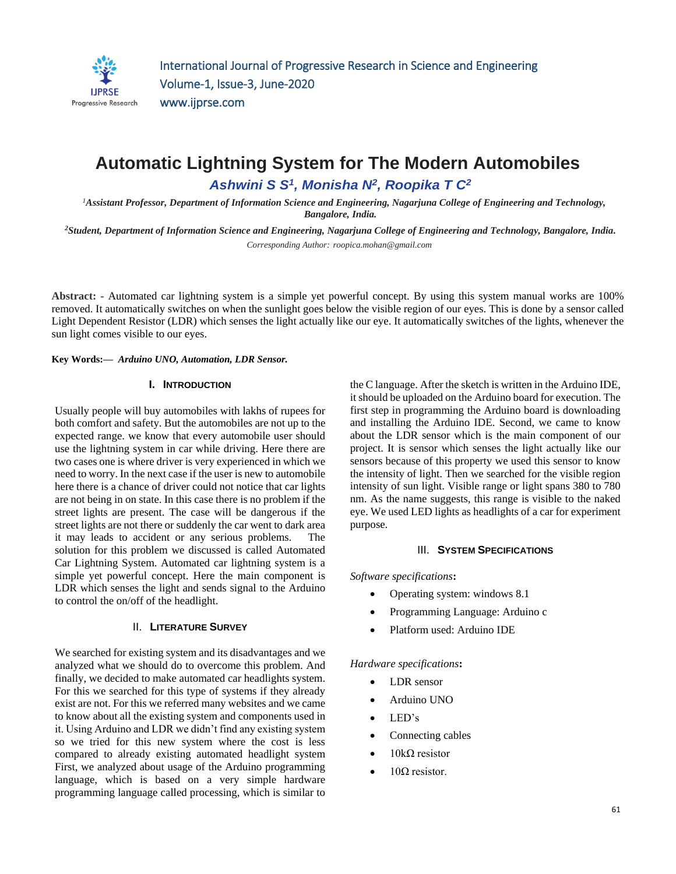

# **Automatic Lightning System for The Modern Automobiles**  *Ashwini S S<sup>1</sup> , Monisha N<sup>2</sup> , Roopika T C<sup>2</sup>*

*<sup>1</sup>Assistant Professor, Department of Information Science and Engineering, Nagarjuna College of Engineering and Technology, Bangalore, India.*

*<sup>2</sup>Student, Department of Information Science and Engineering, Nagarjuna College of Engineering and Technology, Bangalore, India. Corresponding Author: roopica.mohan@gmail.com*

**Abstract: -** Automated car lightning system is a simple yet powerful concept. By using this system manual works are 100% removed. It automatically switches on when the sunlight goes below the visible region of our eyes. This is done by a sensor called Light Dependent Resistor (LDR) which senses the light actually like our eye. It automatically switches of the lights, whenever the sun light comes visible to our eyes.

**Key Words:—** *Arduino UNO, Automation, LDR Sensor.*

#### **I. INTRODUCTION**

Usually people will buy automobiles with lakhs of rupees for both comfort and safety. But the automobiles are not up to the expected range. we know that every automobile user should use the lightning system in car while driving. Here there are two cases one is where driver is very experienced in which we need to worry. In the next case if the user is new to automobile here there is a chance of driver could not notice that car lights are not being in on state. In this case there is no problem if the street lights are present. The case will be dangerous if the street lights are not there or suddenly the car went to dark area it may leads to accident or any serious problems. The solution for this problem we discussed is called Automated Car Lightning System. Automated car lightning system is a simple yet powerful concept. Here the main component is LDR which senses the light and sends signal to the Arduino to control the on/off of the headlight.

## II. **LITERATURE SURVEY**

We searched for existing system and its disadvantages and we analyzed what we should do to overcome this problem. And finally, we decided to make automated car headlights system. For this we searched for this type of systems if they already exist are not. For this we referred many websites and we came to know about all the existing system and components used in it. Using Arduino and LDR we didn't find any existing system so we tried for this new system where the cost is less compared to already existing automated headlight system First, we analyzed about usage of the Arduino programming language, which is based on a very simple hardware programming language called processing, which is similar to

the C language. After the sketch is written in the Arduino IDE, it should be uploaded on the Arduino board for execution. The first step in programming the Arduino board is downloading and installing the Arduino IDE. Second, we came to know about the LDR sensor which is the main component of our project. It is sensor which senses the light actually like our sensors because of this property we used this sensor to know the intensity of light. Then we searched for the visible region intensity of sun light. Visible range or light spans 380 to 780 nm. As the name suggests, this range is visible to the naked eye. We used LED lights as headlights of a car for experiment purpose.

#### III. **SYSTEM SPECIFICATIONS**

*Software specifications***:** 

- Operating system: windows 8.1
- Programming Language: Arduino c
- Platform used: Arduino IDE

#### *Hardware specifications***:**

- LDR sensor
- Arduino UNO
- LED's
- Connecting cables
- 10kΩ resistor
- $10Ω$  resistor.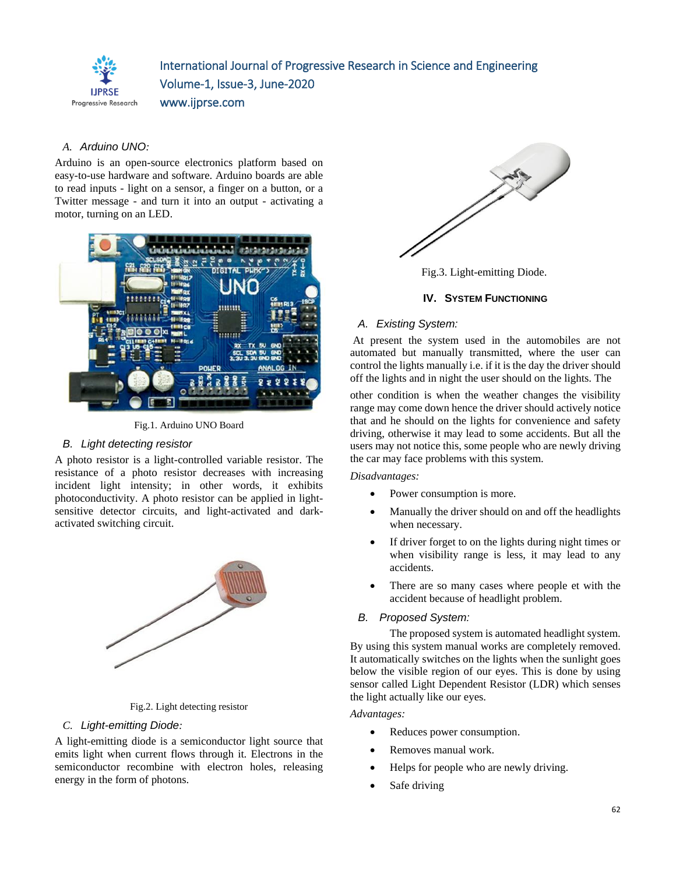

# International Journal of Progressive Research in Science and Engineering Volume-1, Issue-3, June-2020 www.ijprse.com

# *A. Arduino UNO:*

Arduino is an open-source electronics platform based on easy-to-use hardware and software. Arduino boards are able to read inputs - light on a sensor, a finger on a button, or a Twitter message - and turn it into an output - activating a motor, turning on an LED.



Fig.1. Arduino UNO Board

# *B. Light detecting resistor*

A photo resistor is a light-controlled variable resistor. The resistance of a photo resistor decreases with increasing incident light intensity; in other words, it exhibits photoconductivity. A photo resistor can be applied in lightsensitive detector circuits, and light-activated and darkactivated switching circuit.



Fig.2. Light detecting resistor

# *C. Light-emitting Diode:*

A light-emitting diode is a semiconductor light source that emits light when current flows through it. Electrons in the semiconductor recombine with electron holes, releasing energy in the form of photons.



Fig.3. Light-emitting Diode.

# **IV.** SYSTEM FUNCTIONING

# *A. Existing System:*

At present the system used in the automobiles are not automated but manually transmitted, where the user can control the lights manually i.e. if it is the day the driver should off the lights and in night the user should on the lights. The

other condition is when the weather changes the visibility range may come down hence the driver should actively notice that and he should on the lights for convenience and safety driving, otherwise it may lead to some accidents. But all the users may not notice this, some people who are newly driving the car may face problems with this system.

### *Disadvantages:*

- Power consumption is more.
- Manually the driver should on and off the headlights when necessary.
- If driver forget to on the lights during night times or when visibility range is less, it may lead to any accidents.
- There are so many cases where people et with the accident because of headlight problem.

### *B. Proposed System:*

The proposed system is automated headlight system. By using this system manual works are completely removed. It automatically switches on the lights when the sunlight goes below the visible region of our eyes. This is done by using sensor called Light Dependent Resistor (LDR) which senses the light actually like our eyes.

### *Advantages:*

- Reduces power consumption.
- Removes manual work.
- Helps for people who are newly driving.
- Safe driving